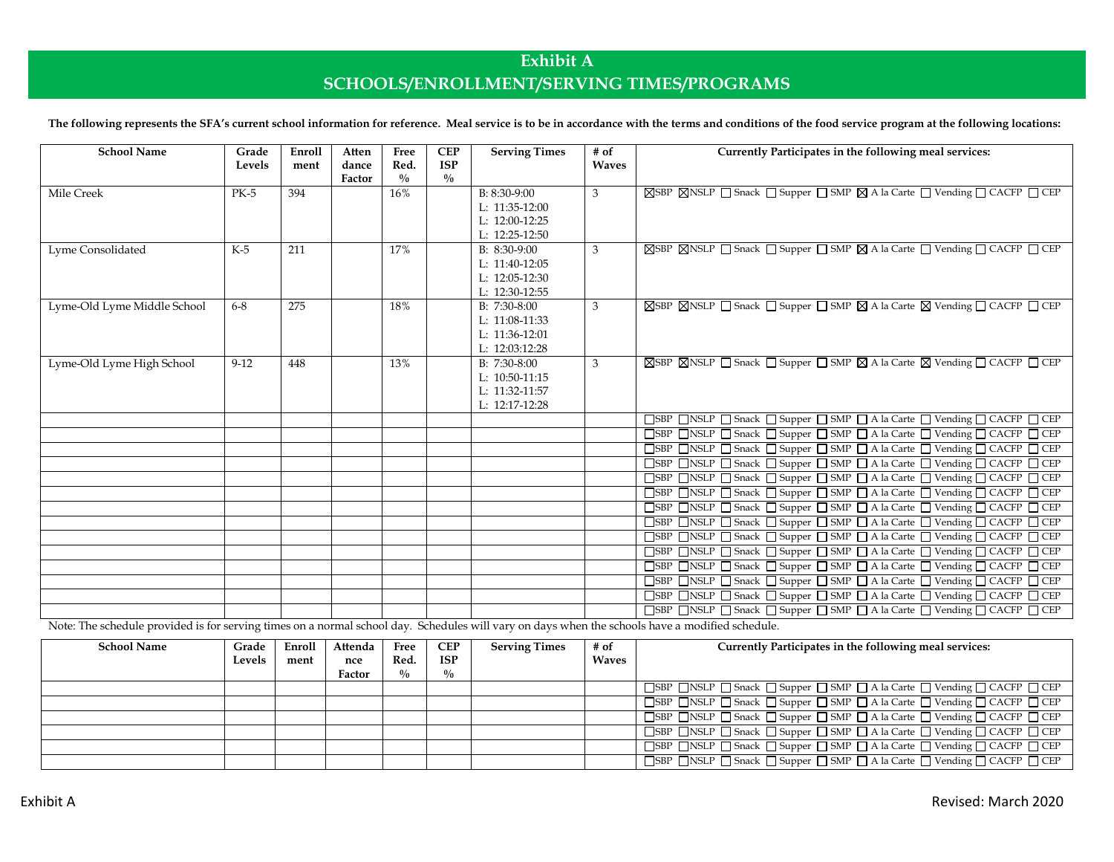## **Exhibit A SCHOOLS/ENROLLMENT/SERVING TIMES/PROGRAMS**

The following represents the SFA's current school information for reference. Meal service is to be in accordance with the terms and conditions of the food service program at the following locations:

| <b>School Name</b>          | Grade<br>Levels | Enroll<br>ment | Atten<br>dance<br>Factor | Free<br>Red.<br>$^{0}/_{0}$ | <b>CEP</b><br><b>ISP</b><br>$\frac{0}{0}$ | <b>Serving Times</b>                                                   | $#$ of<br><b>Waves</b> | Currently Participates in the following meal services:                                                                                           |
|-----------------------------|-----------------|----------------|--------------------------|-----------------------------|-------------------------------------------|------------------------------------------------------------------------|------------------------|--------------------------------------------------------------------------------------------------------------------------------------------------|
| Mile Creek                  | $PK-5$          | 394            |                          | 16%                         |                                           | B: 8:30-9:00<br>L: $11:35-12:00$<br>L: 12:00-12:25<br>L: 12:25-12:50   | 3                      | ⊠SBP ⊠NSLP □ Snack □ Supper □ SMP ⊠ A la Carte □ Vending □ CACFP □ CEP                                                                           |
| Lyme Consolidated           | $K-5$           | 211            |                          | 17%                         |                                           | $B: 8:30-9:00$<br>L: 11:40-12:05<br>L: 12:05-12:30<br>L: 12:30-12:55   | 3                      | ⊠SBP ⊠NSLP □ Snack □ Supper □ SMP ⊠ A la Carte □ Vending □ CACFP □ CEP                                                                           |
| Lyme-Old Lyme Middle School | $6 - 8$         | 275            |                          | 18%                         |                                           | $B: 7:30-8:00$<br>L: 11:08-11:33<br>L: 11:36-12:01<br>L: $12:03:12:28$ | 3                      | <b>SSBP</b> SNSLP Snack Supper SMP SA la Carte S Vending SCACFP CEP                                                                              |
| Lyme-Old Lyme High School   | $9 - 12$        | 448            |                          | 13%                         |                                           | $B: 7:30-8:00$<br>L: 10:50-11:15<br>L: 11:32-11:57<br>$L: 12:17-12:28$ | 3                      | ⊠SBP ⊠NSLP □ Snack □ Supper □ SMP ⊠ A la Carte ⊠ Vending □ CACFP □ CEP                                                                           |
|                             |                 |                |                          |                             |                                           |                                                                        |                        | □SBP □NSLP □ Snack □ Supper □ SMP □ A la Carte □ Vending □ CACFP □ CEP                                                                           |
|                             |                 |                |                          |                             |                                           |                                                                        |                        | □SBP □NSLP □ Snack □ Supper □ SMP □ A la Carte □ Vending □ CACFP □ CEP                                                                           |
|                             |                 |                |                          |                             |                                           |                                                                        |                        | □SBP □NSLP □ Snack □ Supper □ SMP □ A la Carte □ Vending □ CACFP □ CEP                                                                           |
|                             |                 |                |                          |                             |                                           |                                                                        |                        | □SBP □NSLP □ Snack □ Supper □ SMP □ A la Carte □ Vending □ CACFP □ CEP<br>□SBP □NSLP □ Snack □ Supper □ SMP □ A la Carte □ Vending □ CACFP □ CEP |
|                             |                 |                |                          |                             |                                           |                                                                        |                        | □SBP □NSLP □ Snack □ Supper □ SMP □ A la Carte □ Vending □ CACFP □ CEP                                                                           |
|                             |                 |                |                          |                             |                                           |                                                                        |                        | □SBP □NSLP □ Snack □ Supper □ SMP □ A la Carte □ Vending □ CACFP □ CEP                                                                           |
|                             |                 |                |                          |                             |                                           |                                                                        |                        | □SBP □NSLP □ Snack □ Supper □ SMP □ A la Carte □ Vending □ CACFP □ CEP                                                                           |
|                             |                 |                |                          |                             |                                           |                                                                        |                        | □SBP □NSLP □ Snack □ Supper □ SMP □ A la Carte □ Vending □ CACFP □ CEP                                                                           |
|                             |                 |                |                          |                             |                                           |                                                                        |                        | □SBP □NSLP □ Snack □ Supper □ SMP □ A la Carte □ Vending □ CACFP □ CEP                                                                           |
|                             |                 |                |                          |                             |                                           |                                                                        |                        | □SBP □NSLP □ Snack □ Supper □ SMP □ A la Carte □ Vending □ CACFP □ CEP                                                                           |
|                             |                 |                |                          |                             |                                           |                                                                        |                        | □SBP □NSLP □ Snack □ Supper □ SMP □ A la Carte □ Vending □ CACFP □ CEP                                                                           |
|                             |                 |                |                          |                             |                                           |                                                                        |                        | □SBP □NSLP □ Snack □ Supper □ SMP □ A la Carte □ Vending □ CACFP □ CEP                                                                           |
|                             |                 |                |                          |                             |                                           |                                                                        |                        | □SBP □NSLP □ Snack □ Supper □ SMP □ A la Carte □ Vending □ CACFP □ CEP                                                                           |

Note: The schedule provided is for serving times on a normal school day. Schedules will vary on days when the schools have a modified schedule.

| <b>School Name</b> | Grade  | Enroll | Attenda | Free        | <b>CEP</b>  | <b>Serving Times</b> | # of         | Currently Participates in the following meal services:                 |
|--------------------|--------|--------|---------|-------------|-------------|----------------------|--------------|------------------------------------------------------------------------|
|                    | Levels | ment   | nce     | Red.        | <b>ISP</b>  |                      | <b>Waves</b> |                                                                        |
|                    |        |        | Factor  | $^{0}/_{0}$ | $^{0}/_{0}$ |                      |              |                                                                        |
|                    |        |        |         |             |             |                      |              | SBP ONSLP O Snack O Supper O SMP O A la Carte O Vending O CACFP O CEP  |
|                    |        |        |         |             |             |                      |              | □SBP □NSLP □ Snack □ Supper □ SMP □ A la Carte □ Vending □ CACFP □ CEP |
|                    |        |        |         |             |             |                      |              | □SBP □NSLP □ Snack □ Supper □ SMP □ A la Carte □ Vending □ CACFP □ CEP |
|                    |        |        |         |             |             |                      |              | □SBP □NSLP □ Snack □ Supper □ SMP □ A la Carte □ Vending □ CACFP □ CEP |
|                    |        |        |         |             |             |                      |              | □SBP □NSLP □ Snack □ Supper □ SMP □ A la Carte □ Vending □ CACFP □ CEP |
|                    |        |        |         |             |             |                      |              | □SBP □NSLP □ Snack □ Supper □ SMP □ A la Carte □ Vending □ CACFP □ CEP |